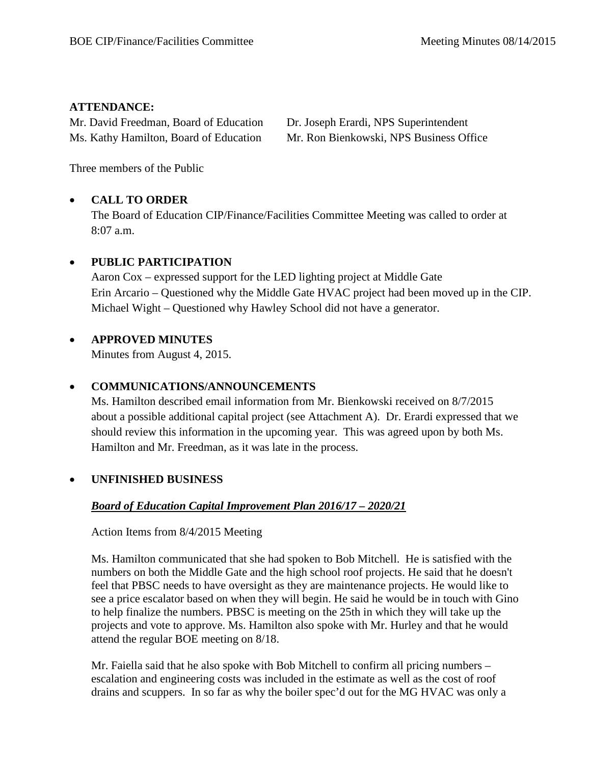## **ATTENDANCE:**

Mr. David Freedman, Board of Education Dr. Joseph Erardi, NPS Superintendent

Ms. Kathy Hamilton, Board of Education Mr. Ron Bienkowski, NPS Business Office

Three members of the Public

# • **CALL TO ORDER**

The Board of Education CIP/Finance/Facilities Committee Meeting was called to order at 8:07 a.m.

## • **PUBLIC PARTICIPATION**

Aaron Cox – expressed support for the LED lighting project at Middle Gate Erin Arcario – Questioned why the Middle Gate HVAC project had been moved up in the CIP. Michael Wight – Questioned why Hawley School did not have a generator.

## • **APPROVED MINUTES**

Minutes from August 4, 2015.

## • **COMMUNICATIONS/ANNOUNCEMENTS**

Ms. Hamilton described email information from Mr. Bienkowski received on 8/7/2015 about a possible additional capital project (see Attachment A). Dr. Erardi expressed that we should review this information in the upcoming year. This was agreed upon by both Ms. Hamilton and Mr. Freedman, as it was late in the process.

## • **UNFINISHED BUSINESS**

# *Board of Education Capital Improvement Plan 2016/17 – 2020/21*

Action Items from 8/4/2015 Meeting

Ms. Hamilton communicated that she had spoken to Bob Mitchell. He is satisfied with the numbers on both the Middle Gate and the high school roof projects. He said that he doesn't feel that PBSC needs to have oversight as they are maintenance projects. He would like to see a price escalator based on when they will begin. He said he would be in touch with Gino to help finalize the numbers. PBSC is meeting on the 25th in which they will take up the projects and vote to approve. Ms. Hamilton also spoke with Mr. Hurley and that he would attend the regular BOE meeting on 8/18.

Mr. Faiella said that he also spoke with Bob Mitchell to confirm all pricing numbers – escalation and engineering costs was included in the estimate as well as the cost of roof drains and scuppers. In so far as why the boiler spec'd out for the MG HVAC was only a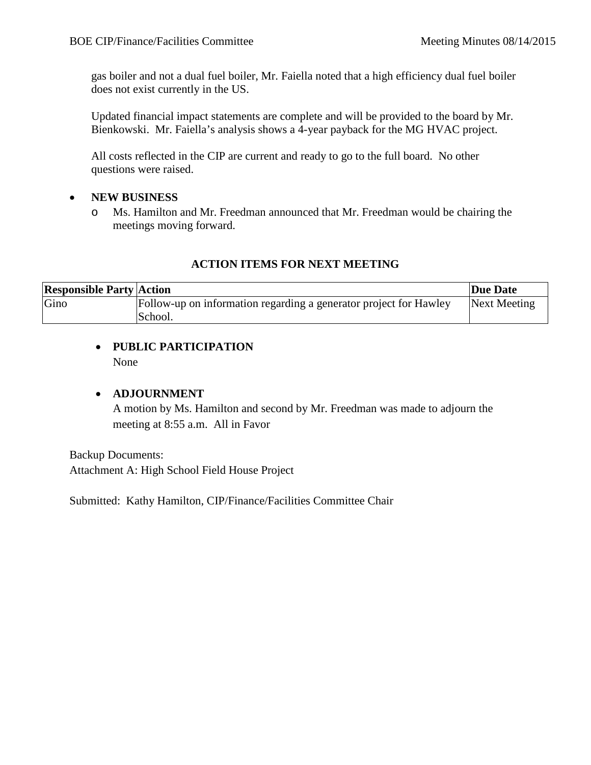gas boiler and not a dual fuel boiler, Mr. Faiella noted that a high efficiency dual fuel boiler does not exist currently in the US.

Updated financial impact statements are complete and will be provided to the board by Mr. Bienkowski. Mr. Faiella's analysis shows a 4-year payback for the MG HVAC project.

All costs reflected in the CIP are current and ready to go to the full board. No other questions were raised.

## • **NEW BUSINESS**

o Ms. Hamilton and Mr. Freedman announced that Mr. Freedman would be chairing the meetings moving forward.

#### **ACTION ITEMS FOR NEXT MEETING**

| <b>Responsible Party Action</b> |                                                                   | Due Date     |
|---------------------------------|-------------------------------------------------------------------|--------------|
| Gino                            | Follow-up on information regarding a generator project for Hawley | Next Meeting |
|                                 | School.                                                           |              |

## • **PUBLIC PARTICIPATION** None

#### • **ADJOURNMENT**

A motion by Ms. Hamilton and second by Mr. Freedman was made to adjourn the meeting at 8:55 a.m. All in Favor

Backup Documents: Attachment A: High School Field House Project

Submitted: Kathy Hamilton, CIP/Finance/Facilities Committee Chair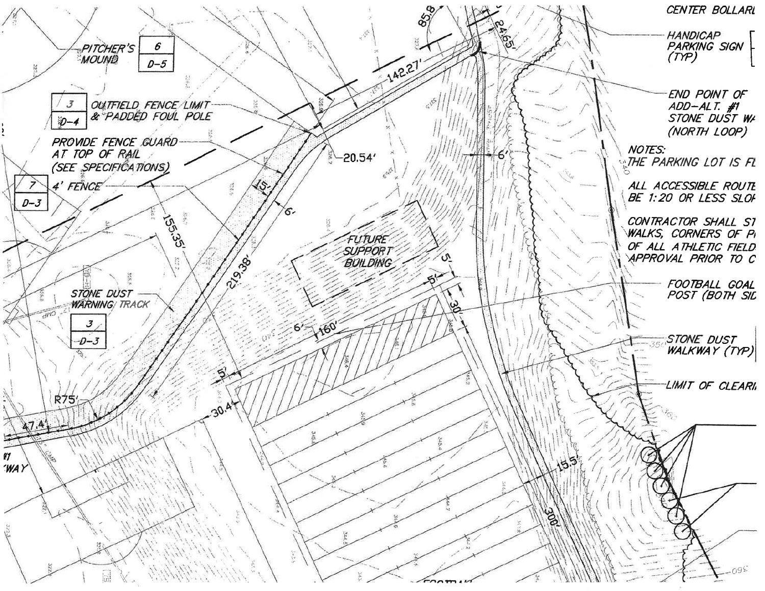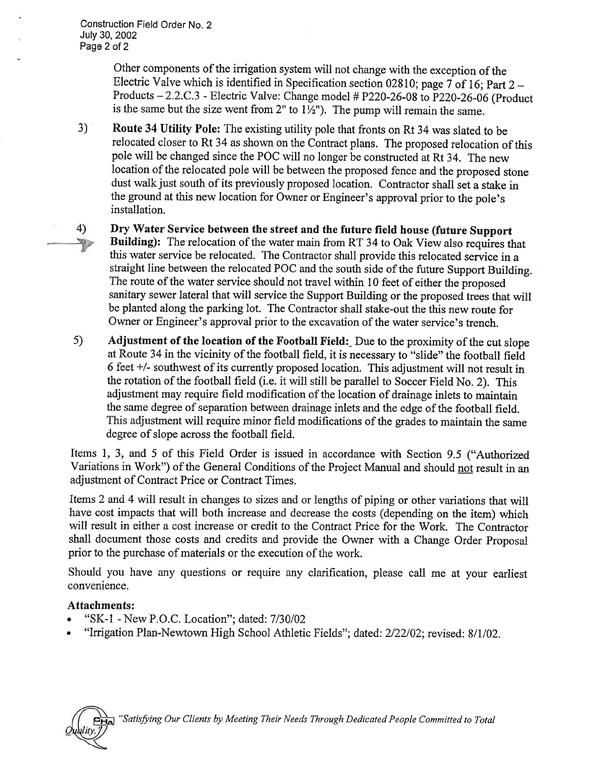Construction Field Order No. 2 July 30, 2002 Page 2 of 2

> Other components of the irrigation system will not change with the exception of the Electric Valve which is identified in Specification section 02810; page 7 of 16; Part  $2 -$ Products  $-2.2.C.3$  - Electric Valve: Change model # P220-26-08 to P220-26-06 (Product is the same but the size went from 2" to  $1\frac{1}{2}$ "). The pump will remain the same.

- $3)$ Route 34 Utility Pole: The existing utility pole that fronts on Rt 34 was slated to be relocated closer to Rt 34 as shown on the Contract plans. The proposed relocation of this pole will be changed since the POC will no longer be constructed at Rt 34. The new location of the relocated pole will be between the proposed fence and the proposed stone dust walk just south of its previously proposed location. Contractor shall set a stake in the ground at this new location for Owner or Engineer's approval prior to the pole's installation.
- Dry Water Service between the street and the future field house (future Support 4) Building): The relocation of the water main from RT 34 to Oak View also requires that NG. this water service be relocated. The Contractor shall provide this relocated service in a straight line between the relocated POC and the south side of the future Support Building. The route of the water service should not travel within 10 feet of either the proposed sanitary sewer lateral that will service the Support Building or the proposed trees that will be planted along the parking lot. The Contractor shall stake-out the this new route for Owner or Engineer's approval prior to the excavation of the water service's trench.
- $5)$ Adjustment of the location of the Football Field: Due to the proximity of the cut slope at Route 34 in the vicinity of the football field, it is necessary to "slide" the football field 6 feet +/- southwest of its currently proposed location. This adjustment will not result in the rotation of the football field (i.e. it will still be parallel to Soccer Field No. 2). This adjustment may require field modification of the location of drainage inlets to maintain the same degree of separation between drainage inlets and the edge of the football field. This adjustment will require minor field modifications of the grades to maintain the same degree of slope across the football field.

Items 1, 3, and 5 of this Field Order is issued in accordance with Section 9.5 ("Authorized Variations in Work") of the General Conditions of the Project Manual and should not result in an adjustment of Contract Price or Contract Times.

Items 2 and 4 will result in changes to sizes and or lengths of piping or other variations that will have cost impacts that will both increase and decrease the costs (depending on the item) which will result in either a cost increase or credit to the Contract Price for the Work. The Contractor shall document those costs and credits and provide the Owner with a Change Order Proposal prior to the purchase of materials or the execution of the work.

Should you have any questions or require any clarification, please call me at your earliest convenience.

## Attachments:

- "SK-1 New P.O.C. Location"; dated: 7/30/02
- "Irrigation Plan-Newtown High School Athletic Fields"; dated: 2/22/02; revised: 8/1/02.



'Satisfying Our Clients by Meeting Their Needs Through Dedicated People Committed to Total